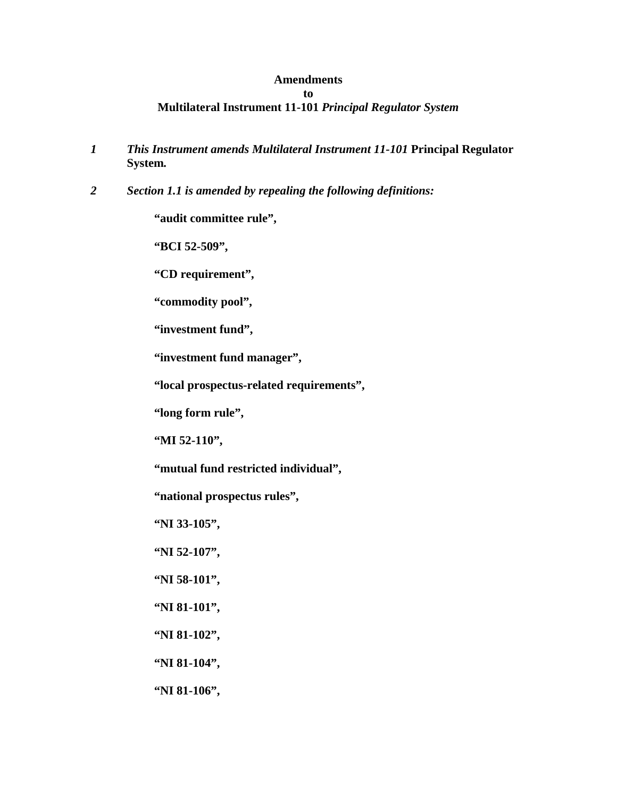## **Amendments to Multilateral Instrument 11-101** *Principal Regulator System*

- *1 This Instrument amends Multilateral Instrument 11-101* **Principal Regulator System***.*
- *2 Section 1.1 is amended by repealing the following definitions:*

**"audit committee rule",** 

**"BCI 52-509",** 

**"CD requirement",** 

**"commodity pool",** 

**"investment fund",** 

**"investment fund manager",** 

**"local prospectus-related requirements",** 

**"long form rule",** 

**"MI 52-110",** 

**"mutual fund restricted individual",** 

**"national prospectus rules",** 

**"NI 33-105",** 

**"NI 52-107",** 

**"NI 58-101",** 

**"NI 81-101",** 

**"NI 81-102",** 

**"NI 81-104",** 

**"NI 81-106",**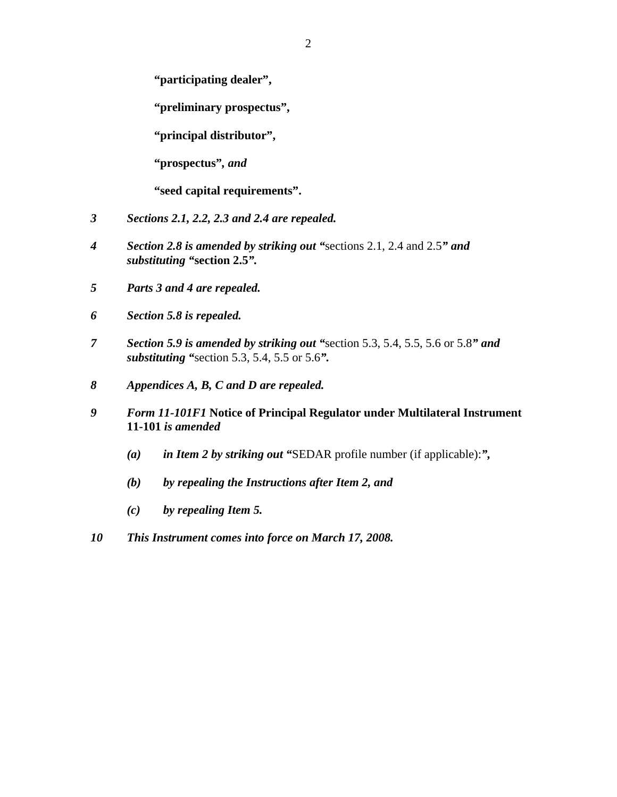**"participating dealer",** 

**"preliminary prospectus",** 

**"principal distributor",** 

**"prospectus"***, and*

**"seed capital requirements".** 

- *3 Sections 2.1, 2.2, 2.3 and 2.4 are repealed.*
- *4 Section 2.8 is amended by striking out "*sections 2.1, 2.4 and 2.5*" and substituting "***section 2.5***".*
- *5 Parts 3 and 4 are repealed.*
- *6 Section 5.8 is repealed.*
- *7 Section 5.9 is amended by striking out "*section 5.3, 5.4, 5.5, 5.6 or 5.8*" and substituting "*section 5.3, 5.4, 5.5 or 5.6*".*
- *8 Appendices A, B, C and D are repealed.*
- *9 Form 11-101F1* **Notice of Principal Regulator under Multilateral Instrument 11-101** *is amended* 
	- *(a) in Item 2 by striking out "*SEDAR profile number (if applicable):*",*
	- *(b) by repealing the Instructions after Item 2, and*
	- *(c) by repealing Item 5.*
- *10 This Instrument comes into force on March 17, 2008.*